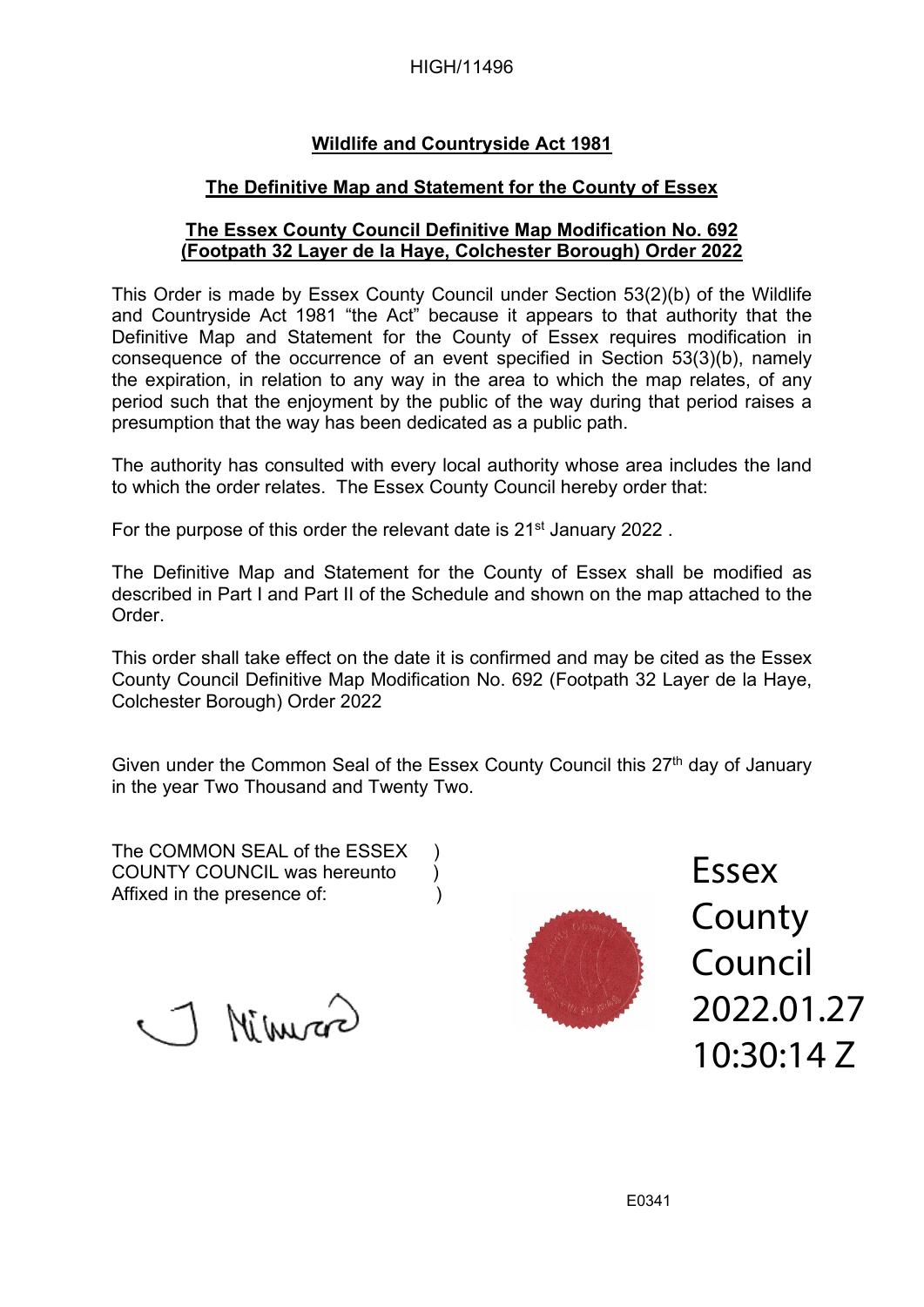#### HIGH/11496

## **Wildlife and Countryside Act 1981**

### **The Definitive Map and Statement for the County of Essex**

### **The Essex County Council Definitive Map Modification No. 692 (Footpath 32 Layer de la Haye, Colchester Borough) Order 2022**

This Order is made by Essex County Council under Section 53(2)(b) of the Wildlife and Countryside Act 1981 "the Act" because it appears to that authority that the Definitive Map and Statement for the County of Essex requires modification in consequence of the occurrence of an event specified in Section 53(3)(b), namely the expiration, in relation to any way in the area to which the map relates, of any period such that the enjoyment by the public of the way during that period raises a presumption that the way has been dedicated as a public path.

The authority has consulted with every local authority whose area includes the land to which the order relates. The Essex County Council hereby order that:

For the purpose of this order the relevant date is 21<sup>st</sup> January 2022.

The Definitive Map and Statement for the County of Essex shall be modified as described in Part I and Part II of the Schedule and shown on the map attached to the Order.

This order shall take effect on the date it is confirmed and may be cited as the Essex County Council Definitive Map Modification No. 692 (Footpath 32 Layer de la Haye, Colchester Borough) Order 2022

Given under the Common Seal of the Essex County Council this 27<sup>th</sup> day of January in the year Two Thousand and Twenty Two.

The COMMON SEAL of the ESSEX ) COUNTY COUNCIL was hereunto ) Affixed in the presence of: (a)

Mimmor



Essex County Council 2022.01.27 10:30:14 Z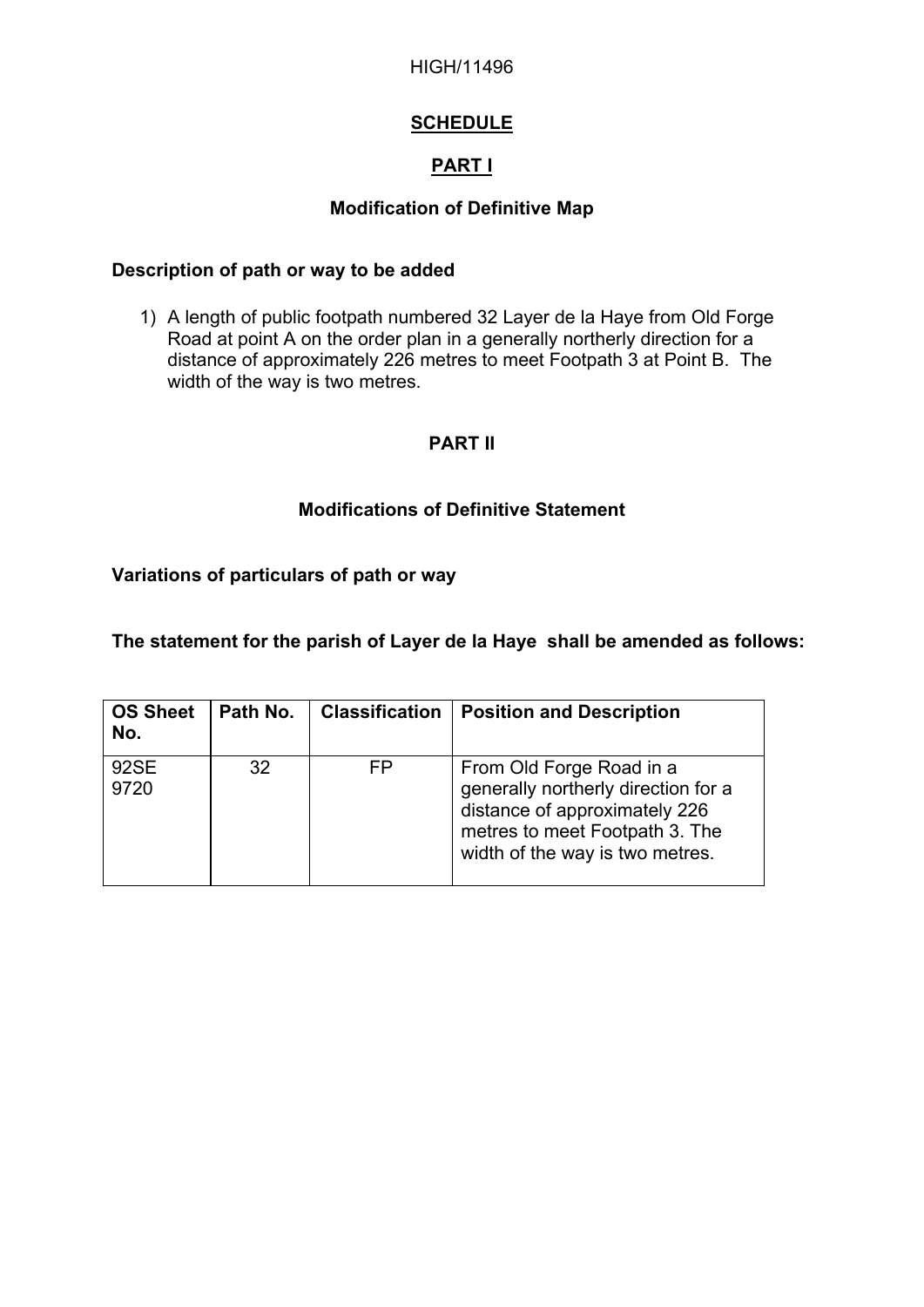#### HIGH/11496

# **SCHEDULE**

# **PART I**

## **Modification of Definitive Map**

#### **Description of path or way to be added**

1) A length of public footpath numbered 32 Layer de la Haye from Old Forge Road at point A on the order plan in a generally northerly direction for a distance of approximately 226 metres to meet Footpath 3 at Point B. The width of the way is two metres.

## **PART II**

## **Modifications of Definitive Statement**

# **Variations of particulars of path or way**

### **The statement for the parish of Layer de la Haye shall be amended as follows:**

| <b>OS Sheet</b><br>No. | Path No. | <b>Classification</b> | <b>Position and Description</b>                                                                                                                                       |
|------------------------|----------|-----------------------|-----------------------------------------------------------------------------------------------------------------------------------------------------------------------|
| 92SE<br>9720           | 32       | FP                    | From Old Forge Road in a<br>generally northerly direction for a<br>distance of approximately 226<br>metres to meet Footpath 3. The<br>width of the way is two metres. |